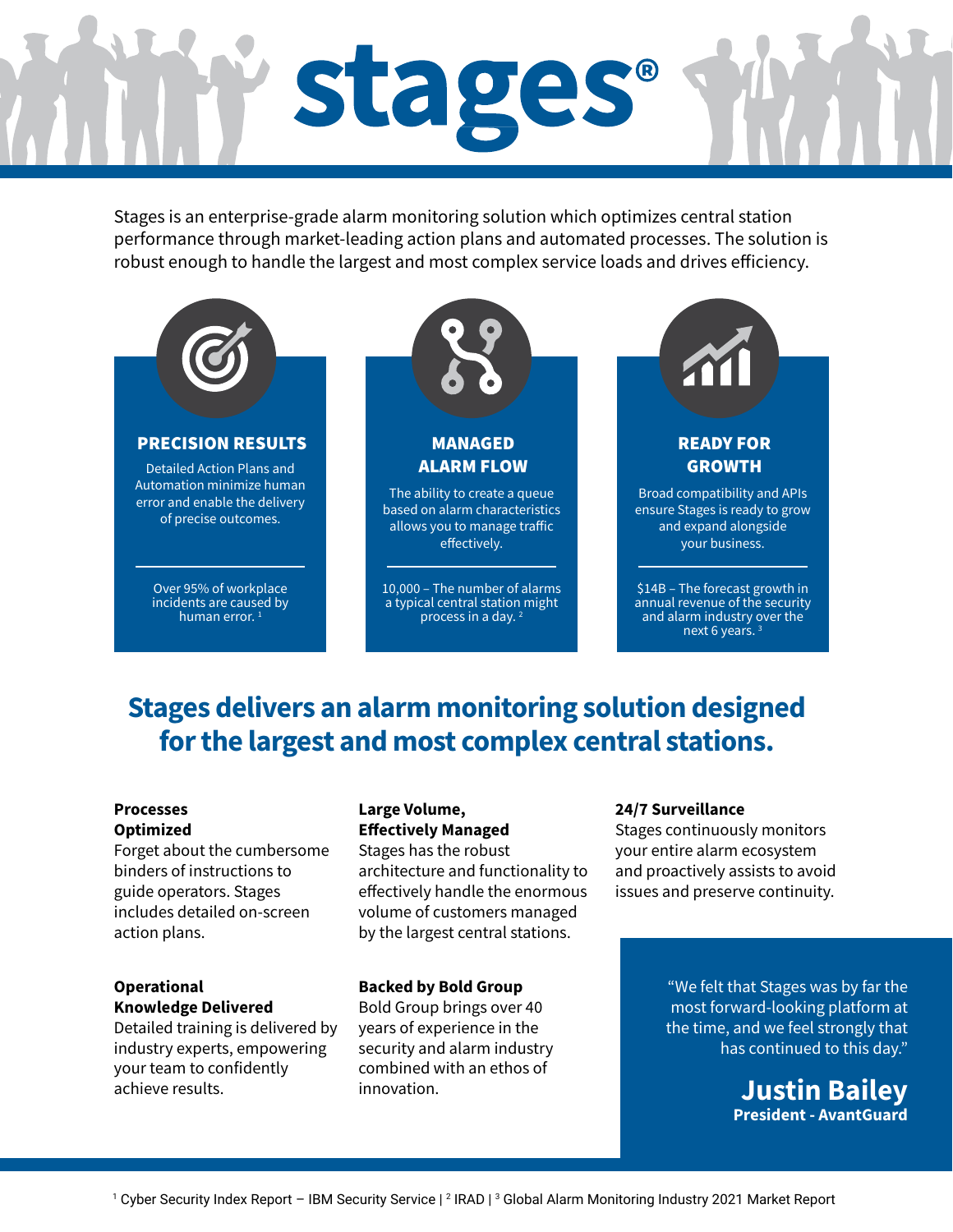# stages®

Stages is an enterprise-grade alarm monitoring solution which optimizes central station performance through market-leading action plans and automated processes. The solution is robust enough to handle the largest and most complex service loads and drives efficiency.



# **Stages delivers an alarm monitoring solution designed for the largest and most complex central stations.**

#### **Processes Optimized**

Forget about the cumbersome binders of instructions to guide operators. Stages includes detailed on-screen action plans.

### **Operational Knowledge Delivered**

Detailed training is delivered by industry experts, empowering your team to confidently achieve results.

### **Large Volume, Effectively Managed**

Stages has the robust architecture and functionality to effectively handle the enormous volume of customers managed by the largest central stations.

### **Backed by Bold Group**

Bold Group brings over 40 years of experience in the security and alarm industry combined with an ethos of innovation.

### **24/7 Surveillance**

Stages continuously monitors your entire alarm ecosystem and proactively assists to avoid issues and preserve continuity.

> "We felt that Stages was by far the most forward-looking platform at the time, and we feel strongly that has continued to this day."

> > **Justin Bailey President - AvantGuard**